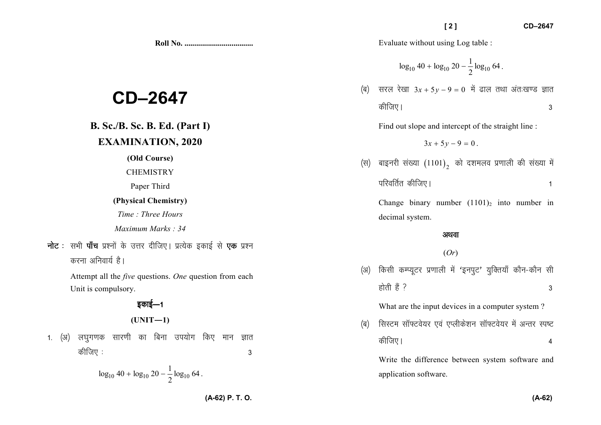Evaluate without using Log table :

$$
\log_{10} 40 + \log_{10} 20 - \frac{1}{2} \log_{10} 64
$$

 $\sqrt{2}$ 

(ब) सरल रेखा  $3x + 5y - 9 = 0$  में ढाल तथा अंतःखण्ड ज्ञात कीजिए।  $\mathbf{3}$ 

Find out slope and intercept of the straight line :

 $3x + 5y - 9 = 0$ .

(स) बाइनरी संख्या  $(1101)$ , को दशमलव प्रणाली की संख्या में परिवर्तित कीजिए।  $\mathbf{1}$ 

Change binary number  $(1101)_2$  into number in decimal system.

### अथवा

### $(Or)$

(अ) किसी कम्प्यूटर प्रणाली में 'इनपूट' युक्तियाँ कौन-कौन सी होती हैं ?  $\mathbf{3}$ 

What are the input devices in a computer system?

सिस्टम सॉफ्टवेयर एवं एप्लीकेशन सॉफ्टवेयर में अन्तर स्पष्ट (ৰ) कीजिए।  $\overline{4}$ 

Write the difference between system software and application software.

# CD-2647

## **B. Sc./B. Sc. B. Ed. (Part I) EXAMINATION, 2020**

(Old Course)

**CHEMISTRY** 

Paper Third

### (Physical Chemistry)

Time: Three Hours

Maximum Marks: 34

**नोट**: सभी **पाँच** प्रश्नों के उत्तर दीजिए। प्रत्येक इकाई से **एक** प्रश्न करना अनिवार्य है।

> Attempt all the *five* questions. One question from each Unit is compulsory.

> > डकाई—1

$$
(UNIT-1)
$$

लघुगणक सारणी का बिना उपयोग किए मान ज्ञात 1.  $(3)$ कीजिए : 3

$$
\log_{10} 40 + \log_{10} 20 - \frac{1}{2} \log_{10} 64.
$$

(A-62) P. T. O.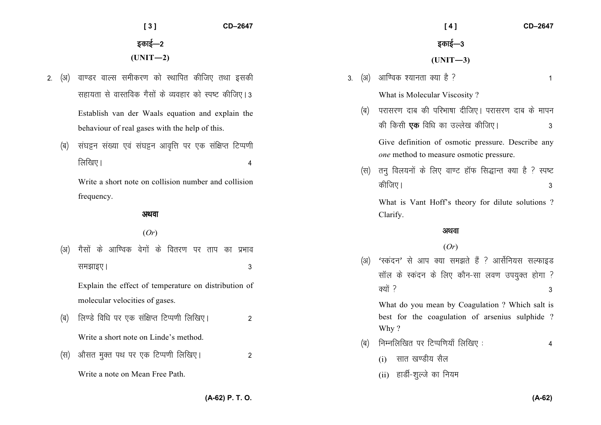|    |      | CD-2647<br>[3]                                               |           | CD-2647<br>[4]                                                                                            |
|----|------|--------------------------------------------------------------|-----------|-----------------------------------------------------------------------------------------------------------|
|    |      | इकाई—2                                                       |           | इकाई—3                                                                                                    |
|    |      | $(UNIT-2)$                                                   |           | $(UNIT-3)$                                                                                                |
| 2. | (अ)  | वाण्डर वाल्स समीकरण को स्थापित कीजिए तथा इसकी                | (अ)<br>3. | आण्विक श्यानता क्या है ?<br>$\mathbf{1}$                                                                  |
|    |      | सहायता से वास्तविक गैसों के व्यवहार को स्पष्ट कीजिए। 3       |           | What is Molecular Viscosity?                                                                              |
|    |      | Establish van der Waals equation and explain the             | (ৰ)       | परासरण दाब की परिभाषा दीजिए। परासरण दाब के मापन                                                           |
|    |      | behaviour of real gases with the help of this.               |           | की किसी <b>एक</b> विधि का उल्लेख कीजिए।<br>3                                                              |
|    | (ब)  | संघट्टन संख्या एवं संघट्टन आवृत्ति पर एक संक्षिप्त टिप्पणी   |           | Give definition of osmotic pressure. Describe any<br>one method to measure osmotic pressure.              |
|    |      | लिखिए।<br>4                                                  | (स)       | तनु विलयनों के लिए वाण्ट हॉफ सिद्धान्त क्या है ? स्पष्ट                                                   |
|    |      | Write a short note on collision number and collision         |           | कीजिए।<br>3                                                                                               |
|    |      | frequency.                                                   |           | What is Vant Hoff's theory for dilute solutions ?                                                         |
|    |      | अथवा                                                         |           | Clarify.                                                                                                  |
|    |      | (Or)                                                         |           | अथवा                                                                                                      |
|    | (3I) | गैसों के आण्विक वेगों के वितरण पर ताप का प्रभाव              |           | (Or)                                                                                                      |
|    |      | समझाइए।<br>3                                                 | (3)       | 'स्कंदन' से आप क्या समझते हैं ? आर्सेनियस सल्फाइड                                                         |
|    |      | Explain the effect of temperature on distribution of         |           | सॉल के स्कंदन के लिए कौन-सा लवण उपयुक्त होगा ?                                                            |
|    |      | molecular velocities of gases.                               |           | क्यों ?<br>3                                                                                              |
|    | (ब)  | लिण्डे विधि पर एक संक्षिप्त टिप्पणी लिखिए।<br>$\overline{2}$ |           | What do you mean by Coagulation ? Which salt is<br>best for the coagulation of arsenius sulphide?<br>Why? |
|    |      | Write a short note on Linde's method.                        | (ৰ)       | निम्नलिखित पर टिप्पणियाँ लिखिए:<br>4                                                                      |
|    | (स)  | औसत मुक्त पथ पर एक टिप्पणी लिखिए।<br>$\overline{2}$          |           | सात खण्डीय सैल<br>(i)                                                                                     |
|    |      | Write a note on Mean Free Path.                              |           | (ii) हार्डी-शुल्जे का नियम                                                                                |

**(A-62) P. T. O.**